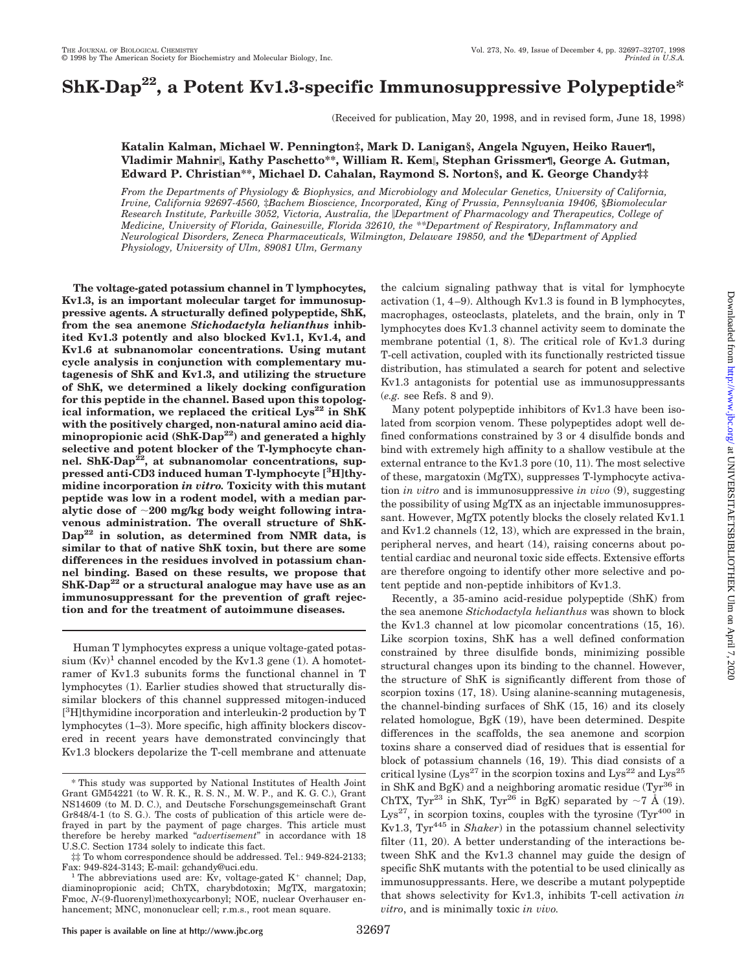# **ShK-Dap22, a Potent Kv1.3-specific Immunosuppressive Polypeptide\***

(Received for publication, May 20, 1998, and in revised form, June 18, 1998)

### **Katalin Kalman, Michael W. Pennington‡, Mark D. Lanigan§, Angela Nguyen, Heiko Rauer¶, Vladimir Mahnir**i**, Kathy Paschetto\*\*, William R. Kem**i**, Stephan Grissmer¶, George A. Gutman, Edward P. Christian\*\*, Michael D. Cahalan, Raymond S. Norton§, and K. George Chandy‡‡**

*From the Departments of Physiology & Biophysics, and Microbiology and Molecular Genetics, University of California, Irvine, California 92697-4560,* ‡*Bachem Bioscience, Incorporated, King of Prussia, Pennsylvania 19406,* §*Biomolecular Research Institute, Parkville 3052, Victoria, Australia, the* i*Department of Pharmacology and Therapeutics, College of Medicine, University of Florida, Gainesville, Florida 32610, the \*\*Department of Respiratory, Inflammatory and Neurological Disorders, Zeneca Pharmaceuticals, Wilmington, Delaware 19850, and the* ¶*Department of Applied Physiology, University of Ulm, 89081 Ulm, Germany*

**The voltage-gated potassium channel in T lymphocytes, Kv1.3, is an important molecular target for immunosuppressive agents. A structurally defined polypeptide, ShK, from the sea anemone** *Stichodactyla helianthus* **inhibited Kv1.3 potently and also blocked Kv1.1, Kv1.4, and Kv1.6 at subnanomolar concentrations. Using mutant cycle analysis in conjunction with complementary mutagenesis of ShK and Kv1.3, and utilizing the structure of ShK, we determined a likely docking configuration for this peptide in the channel. Based upon this topological information, we replaced the critical Lys<sup>22</sup> in ShK with the positively charged, non-natural amino acid diaminopropionic acid (ShK-Dap22) and generated a highly selective and potent blocker of the T-lymphocyte chan**nel. ShK-Dap<sup>22</sup>, at subnanomolar concentrations, sup**pressed anti-CD3 induced human T-lymphocyte [3 H]thymidine incorporation** *in vitro.* **Toxicity with this mutant peptide was low in a rodent model, with a median par**alytic dose of  $\sim$ 200 mg/kg body weight following intra**venous administration. The overall structure of ShK-Dap22 in solution, as determined from NMR data, is similar to that of native ShK toxin, but there are some differences in the residues involved in potassium channel binding. Based on these results, we propose that ShK-Dap22 or a structural analogue may have use as an immunosuppressant for the prevention of graft rejection and for the treatment of autoimmune diseases.**

Human T lymphocytes express a unique voltage-gated potassium  $(Kv)^1$  channel encoded by the Kv1.3 gene (1). A homotetramer of Kv1.3 subunits forms the functional channel in T lymphocytes (1). Earlier studies showed that structurally dissimilar blockers of this channel suppressed mitogen-induced [ 3 H]thymidine incorporation and interleukin-2 production by T lymphocytes (1–3). More specific, high affinity blockers discovered in recent years have demonstrated convincingly that Kv1.3 blockers depolarize the T-cell membrane and attenuate the calcium signaling pathway that is vital for lymphocyte activation (1, 4–9). Although Kv1.3 is found in B lymphocytes, macrophages, osteoclasts, platelets, and the brain, only in T lymphocytes does Kv1.3 channel activity seem to dominate the membrane potential (1, 8). The critical role of Kv1.3 during T-cell activation, coupled with its functionally restricted tissue distribution, has stimulated a search for potent and selective Kv1.3 antagonists for potential use as immunosuppressants (*e.g.* see Refs. 8 and 9).

Many potent polypeptide inhibitors of Kv1.3 have been isolated from scorpion venom. These polypeptides adopt well defined conformations constrained by 3 or 4 disulfide bonds and bind with extremely high affinity to a shallow vestibule at the external entrance to the Kv1.3 pore (10, 11). The most selective of these, margatoxin (MgTX), suppresses T-lymphocyte activation *in vitro* and is immunosuppressive *in vivo* (9), suggesting the possibility of using MgTX as an injectable immunosuppressant. However, MgTX potently blocks the closely related Kv1.1 and Kv1.2 channels (12, 13), which are expressed in the brain, peripheral nerves, and heart (14), raising concerns about potential cardiac and neuronal toxic side effects. Extensive efforts are therefore ongoing to identify other more selective and potent peptide and non-peptide inhibitors of Kv1.3.

Recently, a 35-amino acid-residue polypeptide (ShK) from the sea anemone *Stichodactyla helianthus* was shown to block the Kv1.3 channel at low picomolar concentrations (15, 16). Like scorpion toxins, ShK has a well defined conformation constrained by three disulfide bonds, minimizing possible structural changes upon its binding to the channel. However, the structure of ShK is significantly different from those of scorpion toxins  $(17, 18)$ . Using alanine-scanning mutagenesis, the channel-binding surfaces of ShK (15, 16) and its closely related homologue, BgK (19), have been determined. Despite differences in the scaffolds, the sea anemone and scorpion toxins share a conserved diad of residues that is essential for block of potassium channels (16, 19). This diad consists of a critical lysine (Lys<sup>27</sup> in the scorpion toxins and Lys<sup>22</sup> and Lys<sup>25</sup> in ShK and BgK) and a neighboring aromatic residue (Tyr $^{36}$  in ChTX, Tyr<sup>23</sup> in ShK, Tyr<sup>26</sup> in BgK) separated by  $\sim$ 7 Å (19). Lys<sup>27</sup>, in scorpion toxins, couples with the tyrosine  $(Tyr^{400})$  in Kv1.3, Tyr<sup>445</sup> in *Shaker*) in the potassium channel selectivity filter  $(11, 20)$ . A better understanding of the interactions between ShK and the Kv1.3 channel may guide the design of specific ShK mutants with the potential to be used clinically as immunosuppressants. Here, we describe a mutant polypeptide that shows selectivity for Kv1.3, inhibits T-cell activation *in vitro*, and is minimally toxic *in vivo.*

<sup>\*</sup> This study was supported by National Institutes of Health Joint Grant GM54221 (to W. R. K., R. S. N., M. W. P., and K. G. C.), Grant NS14609 (to M. D. C.), and Deutsche Forschungsgemeinschaft Grant Gr848/4-1 (to S. G.). The costs of publication of this article were defrayed in part by the payment of page charges. This article must therefore be hereby marked "*advertisement*" in accordance with 18 U.S.C. Section 1734 solely to indicate this fact.

<sup>‡‡</sup> To whom correspondence should be addressed. Tel.: 949-824-2133;

<sup>&</sup>lt;sup>1</sup> The abbreviations used are: Kv, voltage-gated K<sup>+</sup> channel; Dap, diaminopropionic acid; ChTX, charybdotoxin; MgTX, margatoxin; Fmoc, *N*-(9-fluorenyl)methoxycarbonyl; NOE, nuclear Overhauser enhancement; MNC, mononuclear cell; r.m.s., root mean square.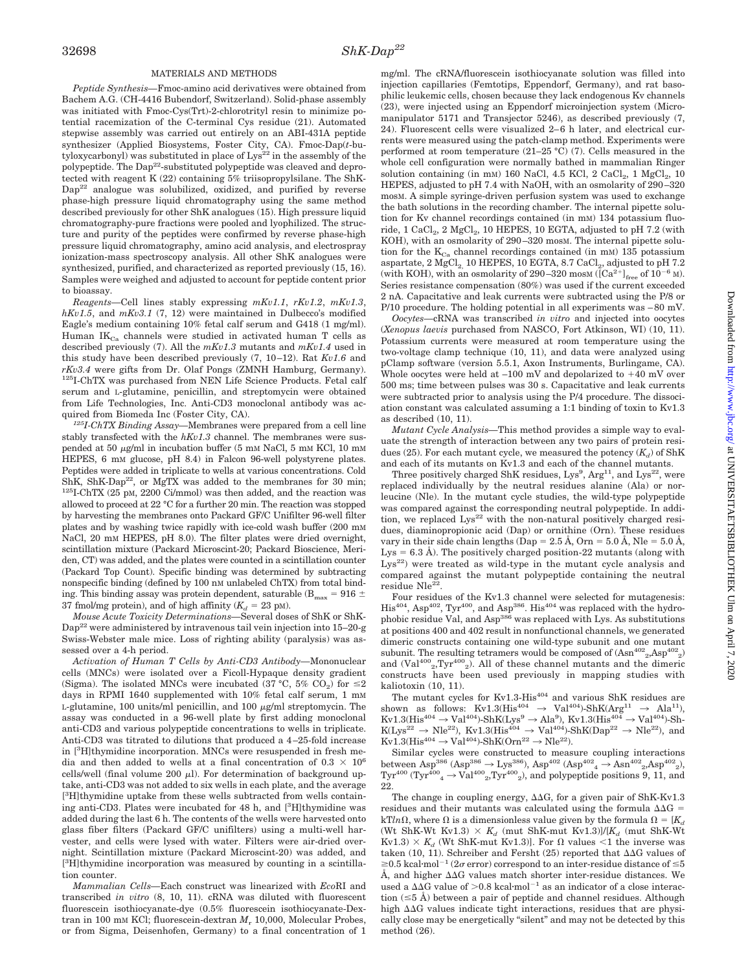#### MATERIALS AND METHODS

*Peptide Synthesis—*Fmoc-amino acid derivatives were obtained from Bachem A.G. (CH-4416 Bubendorf, Switzerland). Solid-phase assembly was initiated with Fmoc-Cys(Trt)-2-chlorotrityl resin to minimize potential racemization of the C-terminal Cys residue (21). Automated stepwise assembly was carried out entirely on an ABI-431A peptide synthesizer (Applied Biosystems, Foster City, CA). Fmoc-Dap(*t*-bu $ty$ loxycarbonyl) was substituted in place of  $Lys^{22}$  in the assembly of the polypeptide. The  $\text{Dap}^{22}$ -substituted polypeptide was cleaved and deprotected with reagent K (22) containing 5% triisopropylsilane. The ShK-Dap<sup>22</sup> analogue was solubilized, oxidized, and purified by reverse phase-high pressure liquid chromatography using the same method described previously for other ShK analogues (15). High pressure liquid chromatography-pure fractions were pooled and lyophilized. The structure and purity of the peptides were confirmed by reverse phase-high pressure liquid chromatography, amino acid analysis, and electrospray ionization-mass spectroscopy analysis. All other ShK analogues were synthesized, purified, and characterized as reported previously (15, 16). Samples were weighed and adjusted to account for peptide content prior to bioassay.

*Reagents—*Cell lines stably expressing *mKv1.1*, *rKv1.2*, *mKv1.3*, *hKv1.5*, and *mKv3.1* (7, 12) were maintained in Dulbecco's modified Eagle's medium containing 10% fetal calf serum and G418 (1 mg/ml). Human IK<sub>Ca</sub> channels were studied in activated human T cells as described previously (7). All the *mKv1.3* mutants and *mKv1.4* used in this study have been described previously (7, 10–12). Rat *Kv1.6* and *rKv3.4* were gifts from Dr. Olaf Pongs (ZMNH Hamburg, Germany). 125I-ChTX was purchased from NEN Life Science Products. Fetal calf serum and L-glutamine, penicillin, and streptomycin were obtained from Life Technologies, Inc. Anti-CD3 monoclonal antibody was acquired from Biomeda Inc (Foster City, CA).

*125I-ChTX Binding Assay—*Membranes were prepared from a cell line stably transfected with the *hKv1.3* channel. The membranes were suspended at 50  $\mu$ g/ml in incubation buffer (5 mm NaCl, 5 mm KCl, 10 mm HEPES, 6 mM glucose, pH 8.4) in Falcon 96-well polystyrene plates. Peptides were added in triplicate to wells at various concentrations. Cold ShK, ShK-Dap<sup>22</sup>, or MgTX was added to the membranes for 30 min;  $125$ I-ChTX (25 pM, 2200 Ci/mmol) was then added, and the reaction was allowed to proceed at 22 °C for a further 20 min. The reaction was stopped by harvesting the membranes onto Packard GF/C Unifilter 96-well filter plates and by washing twice rapidly with ice-cold wash buffer (200 mM NaCl, 20 mM HEPES, pH 8.0). The filter plates were dried overnight, scintillation mixture (Packard Microscint-20; Packard Bioscience, Meriden, CT) was added, and the plates were counted in a scintillation counter (Packard Top Count). Specific binding was determined by subtracting nonspecific binding (defined by 100 nM unlabeled ChTX) from total binding. This binding assay was protein dependent, saturable (B $_{\rm max}$  = 916  $\pm$ 37 fmol/mg protein), and of high affinity  $(K_d = 23 \text{ pM})$ .

*Mouse Acute Toxicity Determinations—*Several doses of ShK or ShK-Dap<sup>22</sup> were administered by intravenous tail vein injection into 15–20-g Swiss-Webster male mice. Loss of righting ability (paralysis) was assessed over a 4-h period.

*Activation of Human T Cells by Anti-CD3 Antibody—*Mononuclear cells (MNCs) were isolated over a Ficoll-Hypaque density gradient (Sigma). The isolated MNCs were incubated (37 °C, 5% CO<sub>2</sub>) for  $\leq$ 2 days in RPMI 1640 supplemented with 10% fetal calf serum, 1 mM L-glutamine, 100 units/ml penicillin, and 100  $\mu$ g/ml streptomycin. The assay was conducted in a 96-well plate by first adding monoclonal anti-CD3 and various polypeptide concentrations to wells in triplicate. Anti-CD3 was titrated to dilutions that produced a 4–25-fold increase in [<sup>3</sup> H]thymidine incorporation. MNCs were resuspended in fresh media and then added to wells at a final concentration of 0.3  $\times$   $10^6$ cells/well (final volume 200  $\mu$ l). For determination of background uptake, anti-CD3 was not added to six wells in each plate, and the average [<sup>3</sup>H]thymidine uptake from these wells subtracted from wells containing anti-CD3. Plates were incubated for 48 h, and [<sup>3</sup>H]thymidine was added during the last 6 h. The contents of the wells were harvested onto glass fiber filters (Packard GF/C unifilters) using a multi-well harvester, and cells were lysed with water. Filters were air-dried overnight. Scintillation mixture (Packard Microscint-20) was added, and [<sup>3</sup>H]thymidine incorporation was measured by counting in a scintillation counter.

*Mammalian Cells—*Each construct was linearized with *Eco*RI and transcribed *in vitro* (8, 10, 11). cRNA was diluted with fluorescent fluorescein isothiocyanate-dye (0.5% fluorescein isothiocyanate-Dextran in 100 mM KCl; fluorescein-dextran  $M_r$  10,000, Molecular Probes, or from Sigma, Deisenhofen, Germany) to a final concentration of 1

mg/ml. The cRNA/fluorescein isothiocyanate solution was filled into injection capillaries (Femtotips, Eppendorf, Germany), and rat basophilic leukemic cells, chosen because they lack endogenous Kv channels (23), were injected using an Eppendorf microinjection system (Micromanipulator 5171 and Transjector 5246), as described previously (7, 24). Fluorescent cells were visualized 2–6 h later, and electrical currents were measured using the patch-clamp method. Experiments were performed at room temperature (21–25 °C) (7). Cells measured in the whole cell configuration were normally bathed in mammalian Ringer solution containing (in mm) 160 NaCl, 4.5 KCl, 2 CaCl<sub>2</sub>, 1 MgCl<sub>2</sub>, 10 HEPES, adjusted to pH 7.4 with NaOH, with an osmolarity of 290–320 mosM. A simple syringe-driven perfusion system was used to exchange the bath solutions in the recording chamber. The internal pipette solution for Kv channel recordings contained (in mM) 134 potassium fluoride, 1 CaCl<sub>2</sub>, 2 MgCl<sub>2</sub>, 10 HEPES, 10 EGTA, adjusted to pH 7.2 (with KOH), with an osmolarity of 290–320 mosm. The internal pipette solution for the  $K_{Ca}$  channel recordings contained (in mM) 135 potassium aspartate,  $2 \text{ MgCl}_2$  10 HEPES, 10 EGTA, 8.7 CaCl<sub>2</sub>, adjusted to pH 7.2 (with KOH), with an osmolarity of 290–320 mosm ( $\left[Ca^{2+}\right]_{\text{free}}$  of  $10^{-6}$  M). Series resistance compensation (80%) was used if the current exceeded 2 nA. Capacitative and leak currents were subtracted using the P/8 or P/10 procedure. The holding potential in all experiments was –80 mV.

*Oocytes—*cRNA was transcribed *in vitro* and injected into oocytes (*Xenopus laevis* purchased from NASCO, Fort Atkinson, WI) (10, 11). Potassium currents were measured at room temperature using the two-voltage clamp technique (10, 11), and data were analyzed using pClamp software (version 5.5.1, Axon Instruments, Burlingame, CA). Whole oocytes were held at  $-100$  mV and depolarized to  $+40$  mV over 500 ms; time between pulses was 30 s. Capacitative and leak currents were subtracted prior to analysis using the P/4 procedure. The dissociation constant was calculated assuming a 1:1 binding of toxin to Kv1.3 as described (10, 11).

*Mutant Cycle Analysis—*This method provides a simple way to evaluate the strength of interaction between any two pairs of protein residues (25). For each mutant cycle, we measured the potency  $(K_d)$  of ShK and each of its mutants on Kv1.3 and each of the channel mutants.

Three positively charged ShK residues,  $Lys^9$ ,  $Arg^{11}$ , and  $Lys^{22}$ , were replaced individually by the neutral residues alanine (Ala) or norleucine (Nle). In the mutant cycle studies, the wild-type polypeptide was compared against the corresponding neutral polypeptide. In addition, we replaced  $Lys^{22}$  with the non-natural positively charged residues, diaminopropionic acid (Dap) or ornithine (Orn). These residues vary in their side chain lengths (Dap = 2.5 Å, Orn = 5.0 Å, Nle = 5.0 Å,  $Lys = 6.3$  Å). The positively charged position-22 mutants (along with  $Lys^{22}$ ) were treated as wild-type in the mutant cycle analysis and compared against the mutant polypeptide containing the neutral residue Nle<sup>22</sup>.

Four residues of the Kv1.3 channel were selected for mutagenesis:  $His<sup>404</sup>, Asp<sup>402</sup>, Tyr<sup>400</sup>, and Asp<sup>386</sup>. His<sup>404</sup> was replaced with the hydro$ phobic residue Val, and Asp<sup>386</sup> was replaced with Lys. As substitutions at positions 400 and 402 result in nonfunctional channels, we generated dimeric constructs containing one wild-type subunit and one mutant subunit. The resulting tetramers would be composed of  $(Asn^{402} \text{,} Asp^{402} \text{,})$ and  $(Val^{400}{}_{2}, Tyr^{400}{}_{2})$ . All of these channel mutants and the dimeric constructs have been used previously in mapping studies with kaliotoxin (10, 11).

The mutant cycles for  $Kv1.3-His^{404}$  and various ShK residues are shown as follows: Kv1.3(His<sup>404</sup>  $\rightarrow$  Val<sup>404</sup>)-ShK(Arg<sup>11</sup>  $\rightarrow$  Ala<sup>11</sup>),  $Kv1.3(His^{404} \rightarrow Val^{404})-ShK(Lys^9 \rightarrow Ala^9)$ ,  $Kv1.3(His^{404} \rightarrow Val^{404})-Sh K(Lys^{22} \rightarrow Ne^{22})$ ,  $Kv1.3(His^{404} \rightarrow Va^{404})-ShK(Dap^{22} \rightarrow Ne^{22})$ , and  $\text{Kv1.3}(\text{His}^{404} \rightarrow \text{Val}^{404})\text{-ShK}(\text{Orn}^{22} \rightarrow \text{Nle}^{22}).$ 

Similar cycles were constructed to measure coupling interactions between Asp<sup>386</sup> (Asp<sup>386</sup>  $\rightarrow$  Lys<sup>386</sup>), Asp<sup>402</sup> (Asp<sup>402</sup><sub>4</sub>  $\rightarrow$  Asn<sup>402</sup><sub>2</sub>,Asp<sup>402</sup><sub>2</sub>), Tyr<sup>400</sup><sub>2</sub>, Tyr<sup>400</sup><sub>2</sub>, and polypeptide positions 9, 11, and 22.

The change in coupling energy,  $\Delta\Delta G$ , for a given pair of ShK-Kv1.3 residues and their mutants was calculated using the formula  $\Delta\Delta G$  = kTln $\Omega$ , where  $\Omega$  is a dimensionless value given by the formula  $\Omega = [K_d]$ (Wt ShK-Wt Kv1.3)  $\times$   $K_d$  (mut ShK-mut Kv1.3)]/[ $K_d$  (mut ShK-Wt  $Kv1.3$ )  $\times$   $K_d$  (Wt ShK-mut Kv1.3)]. For  $\Omega$  values <1 the inverse was taken (10, 11). Schreiber and Fersht  $(25)$  reported that  $\Delta\Delta G$  values of  $\geq$ 0.5 kcal·mol<sup>-1</sup> (2 $\sigma$  error) correspond to an inter-residue distance of  $\leq$ 5 Å, and higher  $\Delta\Delta G$  values match shorter inter-residue distances. We used a  $\Delta\overrightarrow{\Delta G}$  value of  $> 0.8$  kcal·mol<sup>-1</sup> as an indicator of a close interaction  $(\leq 5 \text{ Å})$  between a pair of peptide and channel residues. Although high  $\Delta\Delta G$  values indicate tight interactions, residues that are physically close may be energetically "silent" and may not be detected by this method (26).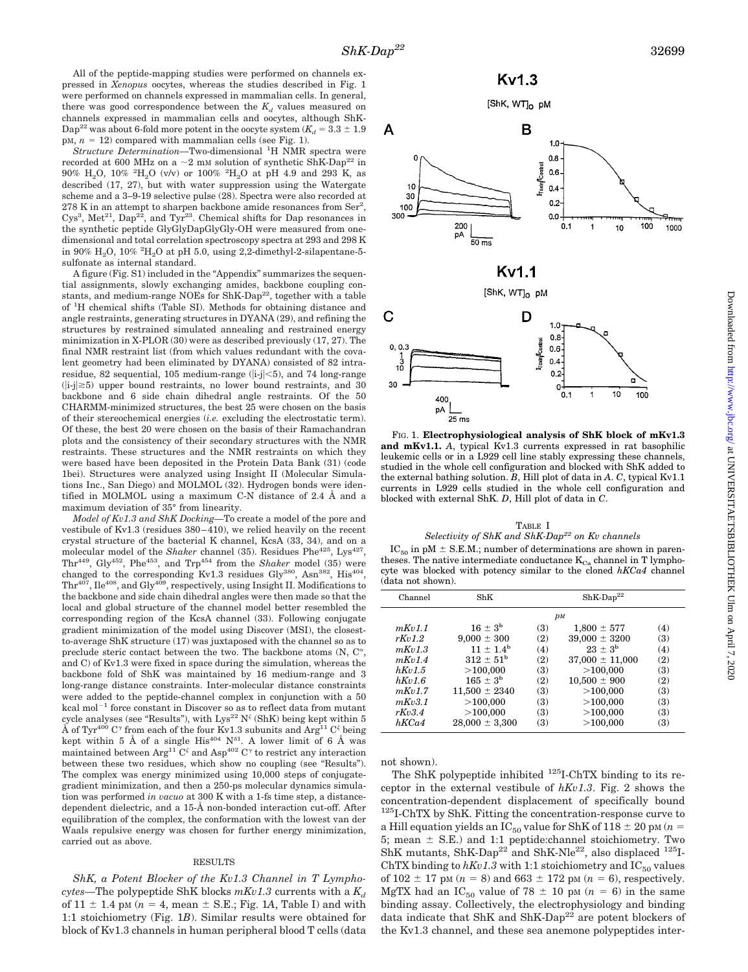All of the peptide-mapping studies were performed on channels expressed in *Xenopus* oocytes, whereas the studies described in Fig. 1 were performed on channels expressed in mammalian cells. In general, there was good correspondence between the  $K_d$  values measured on channels expressed in mammalian cells and oocytes, although ShK-Dap<sup>22</sup> was about 6-fold more potent in the oocyte system  $(K_d = 3.3 \pm 1.9)$  $pM$ ,  $n = 12$ ) compared with mammalian cells (see Fig. 1).

*Structure Determination—*Two-dimensional <sup>1</sup> H NMR spectra were recorded at 600 MHz on a  $\sim$ 2 mM solution of synthetic ShK-Dap<sup>22</sup> in  $90\%$   $\rm H_2O,~10\%$   $^{2}\rm H_2O$   $\left(\rm v/v\right)$  or  $100\%$   $^{2}\rm H_2O$  at pH 4.9 and 293 K, as described (17, 27), but with water suppression using the Watergate scheme and a 3–9-19 selective pulse (28). Spectra were also recorded at  $278$  K in an attempt to sharpen backbone amide resonances from Ser<sup>2</sup>,  $Cys<sup>3</sup>$ , Met<sup>21</sup>, Dap<sup>22</sup>, and Tyr<sup>23</sup>. Chemical shifts for Dap resonances in the synthetic peptide GlyGlyDapGlyGly-OH were measured from onedimensional and total correlation spectroscopy spectra at 293 and 298 K in 90%  $\rm H_2O,\,10\%$   $^2\rm H_2O$  at pH 5.0, using 2,2-dimethyl-2-silapentane-5sulfonate as internal standard.

A figure (Fig. S1) included in the "Appendix" summarizes the sequential assignments, slowly exchanging amides, backbone coupling constants, and medium-range NOEs for ShK-Dap<sup>22</sup>, together with a table of <sup>1</sup>H chemical shifts (Table SI). Methods for obtaining distance and angle restraints, generating structures in DYANA (29), and refining the structures by restrained simulated annealing and restrained energy minimization in X-PLOR (30) were as described previously (17, 27). The final NMR restraint list (from which values redundant with the covalent geometry had been eliminated by DYANA) consisted of 82 intraresidue, 82 sequential, 105 medium-range  $(|i-j|<5)$ , and 74 long-range  $(|i-j| \geq 5)$  upper bound restraints, no lower bound restraints, and 30 backbone and 6 side chain dihedral angle restraints. Of the 50 CHARMM-minimized structures, the best 25 were chosen on the basis of their stereochemical energies (*i.e.* excluding the electrostatic term). Of these, the best 20 were chosen on the basis of their Ramachandran plots and the consistency of their secondary structures with the NMR restraints. These structures and the NMR restraints on which they were based have been deposited in the Protein Data Bank (31) (code 1bei). Structures were analyzed using Insight II (Molecular Simulations Inc., San Diego) and MOLMOL (32). Hydrogen bonds were identified in MOLMOL using a maximum C-N distance of 2.4 Å and a maximum deviation of 35° from linearity.

*Model of Kv1.3 and ShK Docking—*To create a model of the pore and vestibule of Kv1.3 (residues 380–410), we relied heavily on the recent crystal structure of the bacterial K channel, KcsA (33, 34), and on a molecular model of the *Shaker* channel (35). Residues Phe<sup>425</sup>, Lys<sup>427</sup>, Thr449, Gly452, Phe453, and Trp454 from the *Shaker* model (35) were changed to the corresponding Kv1.3 residues Gly<sup>380</sup>, Asn<sup>382</sup>, His<sup>404</sup>,  $Thr^{407}$ ,  $Ile^{408}$ , and  $Gly^{409}$ , respectively, using Insight II. Modifications to the backbone and side chain dihedral angles were then made so that the local and global structure of the channel model better resembled the corresponding region of the KcsA channel (33). Following conjugate gradient minimization of the model using Discover (MSI), the closestto-average ShK structure (17) was juxtaposed with the channel so as to preclude steric contact between the two. The backbone atoms  $(N, C^{\alpha},$ and C) of Kv1.3 were fixed in space during the simulation, whereas the backbone fold of ShK was maintained by 16 medium-range and 3 long-range distance constraints. Inter-molecular distance constraints were added to the peptide-channel complex in conjunction with a 50 kcal mol<sup> $-1$ </sup> force constant in Discover so as to reflect data from mutant cycle analyses (see "Results"), with  $Lys^{22} N^{\zeta}$  (ShK) being kept within 5 Å of Tyr<sup>400</sup> C<sup> $\gamma$ </sup> from each of the four Kv1.3 subunits and Arg<sup>11</sup> C<sup> $\zeta$ </sup> being kept within 5 Å of a single  $His^{404}$   $N^{\delta 1}$ . A lower limit of 6 Å was maintained between  $\text{Arg}^{11} \text{C}^{\zeta}$  and  $\text{Asp}^{402} \text{C}^{\gamma}$  to restrict any interaction between these two residues, which show no coupling (see "Results"). The complex was energy minimized using 10,000 steps of conjugategradient minimization, and then a 250-ps molecular dynamics simulation was performed *in vacuo* at 300 K with a 1-fs time step, a distancedependent dielectric, and a 15-Å non-bonded interaction cut-off. After equilibration of the complex, the conformation with the lowest van der Waals repulsive energy was chosen for further energy minimization, carried out as above.

#### RESULTS

*ShK, a Potent Blocker of the Kv1.3 Channel in T Lymphocytes*—The polypeptide ShK blocks  $mKv1.3$  currents with a  $K_d$ of  $11 \pm 1.4$  pM ( $n = 4$ , mean  $\pm$  S.E.; Fig. 1*A*, Table I) and with 1:1 stoichiometry (Fig. 1*B*). Similar results were obtained for block of Kv1.3 channels in human peripheral blood T cells (data









[ShK, WT]<sub>0</sub> pM



FIG. 1. **Electrophysiological analysis of ShK block of mKv1.3 and mKv1.1.** *A*, typical Kv1.3 currents expressed in rat basophilic leukemic cells or in a L929 cell line stably expressing these channels, studied in the whole cell configuration and blocked with ShK added to the external bathing solution. *B*, Hill plot of data in *A*. *C*, typical Kv1.1 currents in L929 cells studied in the whole cell configuration and blocked with external ShK. *D*, Hill plot of data in *C*.

TABLE I *Selectivity of ShK and ShK-Dap22 on Kv channels*

 $IC_{50}$  in pM  $\pm$  S.E.M.; number of determinations are shown in parentheses. The native intermediate conductance  $K_{Ca}$  channel in T lymphocyte was blocked with potency similar to the cloned *hKCa4* channel (data not shown).

| Channel | ShK                  | $ShK-Dap22$ |                     |     |  |
|---------|----------------------|-------------|---------------------|-----|--|
|         |                      | $p_M$       |                     |     |  |
| mKv1.1  | $16 \pm 3^{\rm b}$   | (3)         | $1,800 \pm 577$     | (4) |  |
| rKv 1.2 | $9,000 \pm 300$      | (2)         | $39,000 \pm 3200$   | (3) |  |
| mKv1.3  | $11 \pm 1.4^{\rm b}$ | (4)         | $23 \pm 3^{\rm b}$  | (4) |  |
| mKv1.4  | $312 \pm 51^{\rm b}$ | (2)         | $37,000 \pm 11,000$ | (2) |  |
| hKv1.5  | >100,000             | (3)         | >100,000            | (3) |  |
| hKv1.6  | $165 \pm 3^{\rm b}$  | (2)         | $10,500 \pm 900$    | (2) |  |
| mKv1.7  | $11,500 \pm 2340$    | (3)         | >100,000            | (3) |  |
| mKv3.1  | >100,000             | (3)         | >100,000            | (3) |  |
| rkv3.4  | >100,000             | (3)         | >100,000            | (3) |  |
| hKCa4   | $28,000 \pm 3,300$   | (3)         | >100,000            | (3) |  |
|         |                      |             |                     |     |  |

not shown).

The ShK polypeptide inhibited <sup>125</sup>I-ChTX binding to its receptor in the external vestibule of *hKv1.3*. Fig. 2 shows the concentration-dependent displacement of specifically bound  $125$ I-ChTX by ShK. Fitting the concentration-response curve to a Hill equation yields an  $IC_{50}$  value for ShK of 118  $\pm$  20 pm ( $n =$ 5; mean  $\pm$  S.E.) and 1:1 peptide:channel stoichiometry. Two ShK mutants, ShK-Dap<sup>22</sup> and ShK-Nle<sup>22</sup>, also displaced <sup>125</sup>I-ChTX binding to  $hKv1.3$  with 1:1 stoichiometry and  $IC_{50}$  values of  $102 \pm 17$  pM ( $n = 8$ ) and  $663 \pm 172$  pM ( $n = 6$ ), respectively. MgTX had an IC<sub>50</sub> value of 78  $\pm$  10 pm (*n* = 6) in the same binding assay. Collectively, the electrophysiology and binding data indicate that ShK and  $\text{ShK-Dap}^{22}$  are potent blockers of the Kv1.3 channel, and these sea anemone polypeptides inter-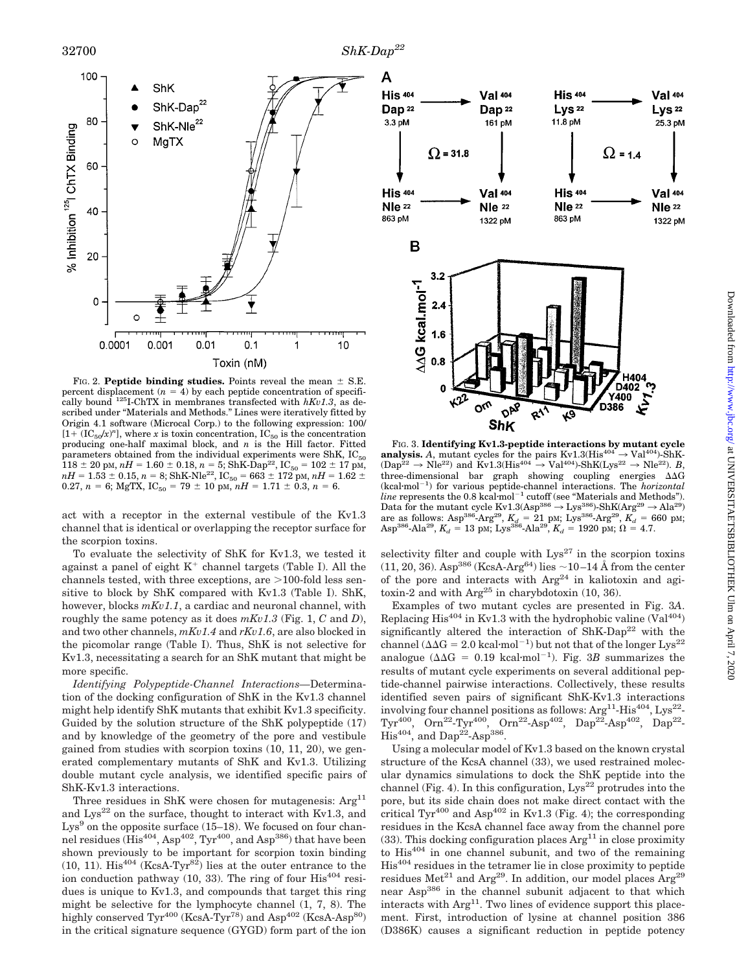

FIG. 2. **Peptide binding studies.** Points reveal the mean  $\pm$  S.E. percent displacement  $(n = 4)$  by each peptide concentration of specifically bound  $^{125}$ I-ChTX in membranes transfected with  $hKv1.3$ , as described under "Materials and Methods." Lines were iteratively fitted by Origin 4.1 software (Microcal Corp.) to the following expression: 100/  $[1 + (IC<sub>50</sub>/x)<sup>n</sup>]$ , where *x* is toxin concentration, IC<sub>50</sub> is the concentration producing one-half maximal block, and *n* is the Hill factor. Fitted parameters obtained from the individual experiments were ShK,  $IC_{50}$  $118 \pm 20$  pm,  $nH = 1.60 \pm 0.18$ ,  $n = 5$ ; ShK-Dap<sup>22</sup>, IC<sub>50</sub> = 102  $\pm$  17 pm,  $nH = 1.53 \pm 0.15, n = 8$ ; ShK-Nle<sup>22</sup>, IC<sub>50</sub> = 663  $\pm$  172 pm,  $nH = 1.62 \pm$ 0.27,  $n = 6$ ; MgTX, IC<sub>50</sub> = 79  $\pm$  10 pm,  $nH = 1.71 \pm 0.3$ ,  $n = 6$ .

act with a receptor in the external vestibule of the Kv1.3 channel that is identical or overlapping the receptor surface for the scorpion toxins.

To evaluate the selectivity of ShK for Kv1.3, we tested it against a panel of eight  $K^+$  channel targets (Table I). All the channels tested, with three exceptions, are  $>$ 100-fold less sensitive to block by ShK compared with Kv1.3 (Table I). ShK, however, blocks *mKv1.1*, a cardiac and neuronal channel, with roughly the same potency as it does *mKv1.3* (Fig. 1, *C* and *D*), and two other channels, *mKv1.4* and *rKv1.6*, are also blocked in the picomolar range (Table I). Thus, ShK is not selective for Kv1.3, necessitating a search for an ShK mutant that might be more specific.

*Identifying Polypeptide-Channel Interactions—*Determination of the docking configuration of ShK in the Kv1.3 channel might help identify ShK mutants that exhibit Kv1.3 specificity. Guided by the solution structure of the ShK polypeptide (17) and by knowledge of the geometry of the pore and vestibule gained from studies with scorpion toxins (10, 11, 20), we generated complementary mutants of ShK and Kv1.3. Utilizing double mutant cycle analysis, we identified specific pairs of ShK-Kv1.3 interactions.

Three residues in ShK were chosen for mutagenesis:  $Arg<sup>11</sup>$ and  $Lys^{22}$  on the surface, thought to interact with Kv1.3, and  $Lys<sup>9</sup>$  on the opposite surface (15–18). We focused on four channel residues  $(His^{404}, Asp^{402}, Tvr^{400}, and Asp^{386})$  that have been shown previously to be important for scorpion toxin binding  $(10, 11)$ . His<sup>404</sup> (KcsA-Tyr<sup>82</sup>) lies at the outer entrance to the ion conduction pathway  $(10, 33)$ . The ring of four  $His^{404}$  residues is unique to Kv1.3, and compounds that target this ring might be selective for the lymphocyte channel (1, 7, 8). The highly conserved  $\text{Tyr}^{400}$  (KcsA-Tyr<sup>78</sup>) and Asp<sup>402</sup> (KcsA-Asp<sup>80</sup>) in the critical signature sequence (GYGD) form part of the ion



FIG. 3. **Identifying Kv1.3-peptide interactions by mutant cycle analysis.** A, mutant cycles for the pairs  $Kv1.3(His^{404} \rightarrow Val^{404})$ -ShK- $(Dap^{22} \to \text{Nle}^{22})$  and  $\text{Kv1.3(His}^{404} \to \text{Val}^{404})$ -ShK(Lys<sup>22</sup>  $\to \text{Nle}^{22}$ ). *B*, three-dimensional bar graph showing coupling energies  $\Delta\Delta G$ (kcal·mol<sup>-1</sup>) for various peptide-channel interactions. The *horizontal line* represents the  $0.8$  kcal·mol<sup>-1</sup> cutoff (see "Materials and Methods"). Data for the mutant cycle Kv1.3(Asp<sup>386</sup>  $\rightarrow$  Lys<sup>386</sup>)-ShK(Arg<sup>29</sup>  $\rightarrow$  Ala<sup>29</sup>) are as follows: Asp<sup>386</sup>-Arg<sup>29</sup>,  $K_d = 21$  pM; Lys<sup>386</sup>-Arg<sup>29</sup>,  $K_d = 660$  pM;  $\text{Asp}^{386}\text{-} \text{Ala}^{29}, K_d = 13 \text{ pM}; \text{Lys}^{386}\text{-} \text{Ala}^{29}, K_d = 1920 \text{ pM}; \Omega = 4.7.$ 

selectivity filter and couple with  $Lys^{27}$  in the scorpion toxins (11, 20, 36). Asp<sup>386</sup> (KcsA-Arg<sup>64</sup>) lies  $\sim$ 10–14 Å from the center of the pore and interacts with  $Arg<sup>24</sup>$  in kaliotoxin and agitoxin-2 and with  $\text{Arg}^{25}$  in charybdotoxin (10, 36).

Examples of two mutant cycles are presented in Fig. 3*A*. Replacing His<sup>404</sup> in Kv1.3 with the hydrophobic valine  $(Val^{404})$ significantly altered the interaction of  $\text{ShK-Dap}^{22}$  with the channel ( $\Delta\Delta G = 2.0$  kcal·mol<sup>-1</sup>) but not that of the longer Lys<sup>22</sup> analogue ( $\Delta\Delta G = 0.19$  kcal·mol<sup>-1</sup>). Fig. 3*B* summarizes the results of mutant cycle experiments on several additional peptide-channel pairwise interactions. Collectively, these results identified seven pairs of significant ShK-Kv1.3 interactions involving four channel positions as follows:  $Arg<sup>11</sup>-His<sup>404</sup>, Lys<sup>22</sup> Tyr^{400}$ , Orn<sup>22</sup>-Tyr<sup>400</sup>, Orn<sup>22</sup>-Asp<sup>402</sup>, Dap<sup>22</sup>-Asp<sup>402</sup>, Dap<sup>22</sup>- $His<sup>404</sup>$ , and Dap<sup>22</sup>-Asp<sup>386</sup>.

Using a molecular model of Kv1.3 based on the known crystal structure of the KcsA channel (33), we used restrained molecular dynamics simulations to dock the ShK peptide into the channel (Fig. 4). In this configuration,  $Lys^{22}$  protrudes into the pore, but its side chain does not make direct contact with the critical  $\text{Tyr}^{400}$  and  $\text{Asp}^{402}$  in Kv1.3 (Fig. 4); the corresponding residues in the KcsA channel face away from the channel pore (33). This docking configuration places  $Arg<sup>11</sup>$  in close proximity to  $His^{404}$  in one channel subunit, and two of the remaining His404 residues in the tetramer lie in close proximity to peptide residues  $Met^{21}$  and  $Arg^{29}$ . In addition, our model places  $Arg^{29}$ near Asp<sup>386</sup> in the channel subunit adjacent to that which interacts with  $Arg<sup>11</sup>$ . Two lines of evidence support this placement. First, introduction of lysine at channel position 386 (D386K) causes a significant reduction in peptide potency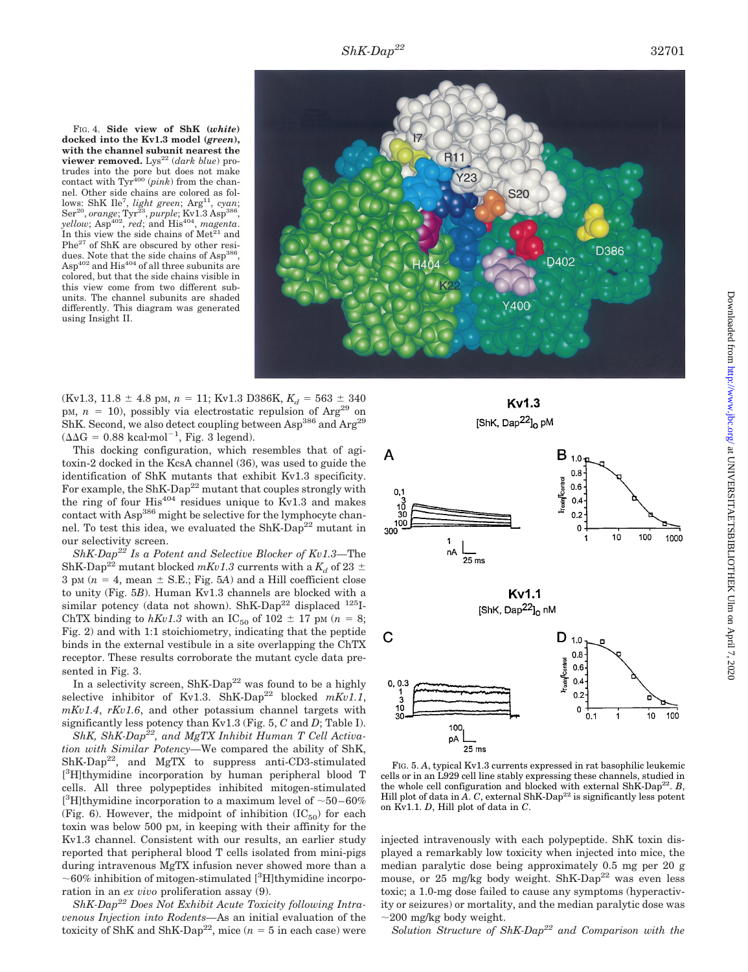FIG. 4. **Side view of ShK (***white***) docked into the Kv1.3 model (***green***), with the channel subunit nearest the viewer removed.** Lys<sup>22</sup> (*dark blue*) protrudes into the pore but does not make contact with Tyr<sup>400</sup> (*pink*) from the channel. Other side chains are colored as follows: ShK Ile<sup>7</sup>, *light green*; Arg<sup>11</sup>, *cyan*; Ser<sup>20</sup>, *orange*; Tyr<sup>23</sup>, *purple*; Kv1.3 Asp<sup>386</sup>, *yellow*; Asp<sup>402</sup>, *red*; and His<sup>404</sup>, *magenta*. In this view the side chains of  $Met<sup>21</sup>$  and Phe<sup>27</sup> of ShK are obscured by other residues. Note that the side chains of Asp<sup>386</sup>,  $\text{Asp}^{402}$  and  $\text{His}^{404}$  of all three subunits are colored, but that the side chains visible in this view come from two different subunits. The channel subunits are shaded differently. This diagram was generated using Insight II.



 $(Kv1.3, 11.8 \pm 4.8 \text{ pM}, n = 11; Kv1.3 D386K, K_d = 563 \pm 340$ pM,  $n = 10$ ), possibly via electrostatic repulsion of Arg<sup>29</sup> on ShK. Second, we also detect coupling between Asp<sup>386</sup> and Arg<sup>29</sup>  $(\Delta \Delta G = 0.88 \text{ kcal·mol}^{-1}, \text{Fig. 3 legend}).$ 

This docking configuration, which resembles that of agitoxin-2 docked in the KcsA channel (36), was used to guide the identification of ShK mutants that exhibit Kv1.3 specificity. For example, the ShK-Dap<sup>22</sup> mutant that couples strongly with the ring of four  $His^{404}$  residues unique to Kv1.3 and makes contact with Asp<sup>386</sup> might be selective for the lymphocyte channel. To test this idea, we evaluated the  $\text{ShK-Dap}^{22}$  mutant in our selectivity screen.

*ShK-Dap22 Is a Potent and Selective Blocker of Kv1.3—*The ShK-Dap<sup>22</sup> mutant blocked  $mKv1.3$  currents with a  $K_d$  of 23  $\pm$ 3 pM  $(n = 4, \text{mean} \pm \text{S.E.}; \text{Fig. 5A})$  and a Hill coefficient close to unity (Fig. 5*B*). Human Kv1.3 channels are blocked with a similar potency (data not shown). ShK-Dap<sup>22</sup> displaced  $^{125}I$ -ChTX binding to  $hKv1.3$  with an IC<sub>50</sub> of 102  $\pm$  17 pm ( $n = 8$ ; Fig. 2) and with 1:1 stoichiometry, indicating that the peptide binds in the external vestibule in a site overlapping the ChTX receptor. These results corroborate the mutant cycle data presented in Fig. 3.

In a selectivity screen,  $\text{ShK-Dap}^{22}$  was found to be a highly selective inhibitor of Kv1.3. ShK-Dap<sup>22</sup> blocked  $mKv1.1$ , *mKv1.4*, *rKv1.6*, and other potassium channel targets with significantly less potency than Kv1.3 (Fig. 5, *C* and *D*; Table I).

*ShK, ShK-Dap22, and MgTX Inhibit Human T Cell Activation with Similar Potency—*We compared the ability of ShK,  $ShK-Dap<sup>22</sup>$ , and MgTX to suppress anti-CD3-stimulated [ 3 H]thymidine incorporation by human peripheral blood T cells. All three polypeptides inhibited mitogen-stimulated [<sup>3</sup>H]thymidine incorporation to a maximum level of  $\sim$  50–60% (Fig. 6). However, the midpoint of inhibition  $(IC_{50})$  for each toxin was below 500 pM, in keeping with their affinity for the Kv1.3 channel. Consistent with our results, an earlier study reported that peripheral blood T cells isolated from mini-pigs during intravenous MgTX infusion never showed more than a  $\sim$  60% inhibition of mitogen-stimulated [<sup>3</sup>H]thymidine incorporation in an *ex vivo* proliferation assay (9).

*ShK-Dap22 Does Not Exhibit Acute Toxicity following Intravenous Injection into Rodents—*As an initial evaluation of the toxicity of ShK and ShK-Dap<sup>22</sup>, mice  $(n = 5$  in each case) were





FIG. 5. *A*, typical Kv1.3 currents expressed in rat basophilic leukemic cells or in an L929 cell line stably expressing these channels, studied in the whole cell configuration and blocked with external  $\text{ShK-Dap}^{22}$ . *B*, Hill plot of data in  $\overline{A}$ .  $C$ , external ShK-Dap<sup>22</sup> is significantly less potent on Kv1.1. *D*, Hill plot of data in *C*.

injected intravenously with each polypeptide. ShK toxin displayed a remarkably low toxicity when injected into mice, the median paralytic dose being approximately 0.5 mg per 20 g mouse, or 25 mg/kg body weight. ShK-Dap<sup>22</sup> was even less toxic; a 1.0-mg dose failed to cause any symptoms (hyperactivity or seizures) or mortality, and the median paralytic dose was  $\sim$ 200 mg/kg body weight.

*Solution Structure of ShK-Dap22 and Comparison with the*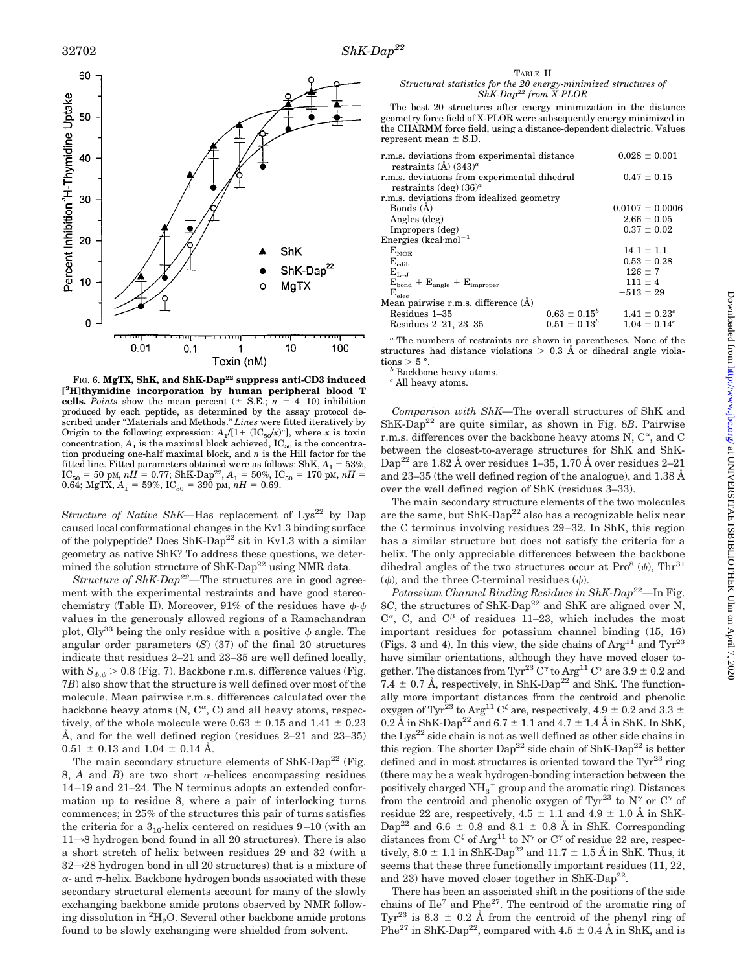

FIG. 6. MgTX, ShK, and ShK-Dap<sup>22</sup> suppress anti-CD3 induced **[ 3 H]thymidine incorporation by human peripheral blood T cells.** *Points* show the mean percent  $(\pm$  S.E.;  $n = 4-10$ ) inhibition produced by each peptide, as determined by the assay protocol described under "Materials and Methods." *Lines* were fitted iteratively by Origin to the following expression:  $A_1/[1 + (IC_{50}/x)^n]$ , where *x* is toxin concentration,  $A_1$  is the maximal block achieved,  $IC_{50}$  is the concentration producing one-half maximal block, and *n* is the Hill factor for the fitted line. Fitted parameters obtained were as follows:  $\text{ShK}, A_1 = 53\%,$  $IC_{50} = 50 \text{ pM}, nH = 0.77; \text{ShK-Dap}^{22}, A_1 = 50\%, IC_{50} = 170 \text{ pM}, nH =$ 0.64; MgTX,  $A_1 = 59\%$ , IC<sub>50</sub> = 390 pM,  $nH = 0.69$ .

*Structure of Native ShK—Has replacement of Lys<sup>22</sup> by Dap* caused local conformational changes in the Kv1.3 binding surface of the polypeptide? Does  $\text{ShK-Dap}^{22}$  sit in Kv1.3 with a similar geometry as native ShK? To address these questions, we determined the solution structure of  $\text{ShK-Dap}^{22}$  using NMR data.

*Structure of ShK-Dap22—*The structures are in good agreement with the experimental restraints and have good stereochemistry (Table II). Moreover, 91% of the residues have  $\phi$ - $\psi$ values in the generously allowed regions of a Ramachandran plot, Gly<sup>33</sup> being the only residue with a positive  $\phi$  angle. The angular order parameters (*S*) (37) of the final 20 structures indicate that residues 2–21 and 23–35 are well defined locally, with  $S_{\phi,\psi} > 0.8$  (Fig. 7). Backbone r.m.s. difference values (Fig. 7*B*) also show that the structure is well defined over most of the molecule. Mean pairwise r.m.s. differences calculated over the backbone heavy atoms  $(N, C^{\alpha}, C)$  and all heavy atoms, respectively, of the whole molecule were  $0.63 \pm 0.15$  and  $1.41 \pm 0.23$ Å, and for the well defined region (residues 2–21 and 23–35)  $0.51 \pm 0.13$  and  $1.04 \pm 0.14$  Å.

The main secondary structure elements of  $\text{ShK-Dap}^{22}$  (Fig. 8, *A* and *B*) are two short  $\alpha$ -helices encompassing residues 14–19 and 21–24. The N terminus adopts an extended conformation up to residue 8, where a pair of interlocking turns commences; in 25% of the structures this pair of turns satisfies the criteria for a  $3_{10}$ -helix centered on residues  $9-10$  (with an  $11\rightarrow8$  hydrogen bond found in all 20 structures). There is also a short stretch of helix between residues 29 and 32 (with a  $32\rightarrow 28$  hydrogen bond in all 20 structures) that is a mixture of  $\alpha$ - and  $\pi$ -helix. Backbone hydrogen bonds associated with these secondary structural elements account for many of the slowly exchanging backbone amide protons observed by NMR following dissolution in  ${}^{2}{\rm H}_{2}{\rm O}$ . Several other backbone amide protons found to be slowly exchanging were shielded from solvent.

TABLE II *Structural statistics for the 20 energy-minimized structures of ShK-Dap22 from X-PLOR*

The best 20 structures after energy minimization in the distance geometry force field of X-PLOR were subsequently energy minimized in the CHARMM force field, using a distance-dependent dielectric. Values represent mean  $\pm$  S.D.

| r.m.s. deviations from experimental distance<br>restraints $(A)$ (343) <sup><i>a</i></sup> | $0.028 \pm 0.001$   |
|--------------------------------------------------------------------------------------------|---------------------|
| r.m.s. deviations from experimental dihedral                                               | $0.47 \pm 0.15$     |
| restraints (deg) $(36)^a$<br>r.m.s. deviations from idealized geometry                     |                     |
| Bonds $(A)$                                                                                | $0.0107 \pm 0.0006$ |
| Angles (deg)                                                                               | $2.66 \pm 0.05$     |
| Impropers (deg)                                                                            | $0.37 \pm 0.02$     |
| Energies (kcal·mol <sup>-1</sup>                                                           |                     |
| $\rm E_{NOE}$                                                                              | $14.1 \pm 1.1$      |
| $\rm E_{cdih}$                                                                             | $0.53 \pm 0.28$     |
| $E_{L-J}$                                                                                  | $-126 \pm 7$        |
| $E_{bond} + E_{angle} + E_{improper}$                                                      | $111 \pm 4$         |
| $\rm E_{elec}$                                                                             | $-513 \pm 29$       |
| Mean pairwise r.m.s. difference (Å)                                                        |                     |
| $0.63 \pm 0.15^b$<br>Residues 1-35                                                         | $1.41 \pm 0.23^c$   |
| $0.51 \pm 0.13^b$<br>Residues 2–21, 23–35                                                  | $1.04 \pm 0.14^c$   |

*<sup>a</sup>* The numbers of restraints are shown in parentheses. None of the structures had distance violations  $> 0.3$  Å or dihedral angle viola-

tions  $> 5^{\circ}$ .<br><sup>*b*</sup> Backbone heavy atoms.

*<sup>c</sup>* All heavy atoms.

*Comparison with ShK—*The overall structures of ShK and ShK-Dap22 are quite similar, as shown in Fig. 8*B*. Pairwise r.m.s. differences over the backbone heavy atoms N,  $C^{\alpha}$ , and C between the closest-to-average structures for ShK and ShK-Dap<sup>22</sup> are 1.82 Å over residues 1–35, 1.70 Å over residues 2–21 and 23–35 (the well defined region of the analogue), and 1.38 Å over the well defined region of ShK (residues 3–33).

The main secondary structure elements of the two molecules are the same, but  $\text{ShK-Dap}^{22}$  also has a recognizable helix near the C terminus involving residues 29–32. In ShK, this region has a similar structure but does not satisfy the criteria for a helix. The only appreciable differences between the backbone dihedral angles of the two structures occur at  $Pro<sup>8</sup>(\psi)$ , Thr<sup>31</sup>  $(\phi)$ , and the three C-terminal residues  $(\phi)$ .

*Potassium Channel Binding Residues in ShK-Dap22—*In Fig. 8*C*, the structures of ShK-Dap<sup>22</sup> and ShK are aligned over N,  $C^{\alpha}$ , C, and  $C^{\beta}$  of residues 11–23, which includes the most important residues for potassium channel binding (15, 16) (Figs. 3 and 4). In this view, the side chains of  $\text{Arg}^{11}$  and  $\text{Tr}^{23}$ have similar orientations, although they have moved closer together. The distances from Tyr<sup>23</sup> C<sup> $\gamma$ </sup> to Arg<sup>11</sup> C<sup> $\gamma$ </sup> are 3.9  $\pm$  0.2 and 7.4  $\pm$  0.7 Å, respectively, in ShK-Dap<sup>22</sup> and ShK. The functionally more important distances from the centroid and phenolic oxygen of Tyr<sup>23</sup> to Arg<sup>11</sup> C<sup> $\zeta$ </sup> are, respectively, 4.9  $\pm$  0.2 and 3.3  $\pm$  $0.2 \text{ Å}$  in ShK-Dap<sup>22</sup> and  $6.7 \pm 1.1$  and  $4.7 \pm 1.4$  Å in ShK. In ShK, the  $Lys^{22}$  side chain is not as well defined as other side chains in this region. The shorter  $\text{Dap}^{22}$  side chain of ShK- $\text{Dap}^{22}$  is better defined and in most structures is oriented toward the  $\text{Tw}^{23}$  ring (there may be a weak hydrogen-bonding interaction between the positively charged  $\mathrm{NH}_3^+$  group and the aromatic ring). Distances from the centroid and phenolic oxygen of Tyr<sup>23</sup> to N<sup> $\gamma$ </sup> or C<sup> $\gamma$ </sup> of residue 22 are, respectively,  $4.5 \pm 1.1$  and  $4.9 \pm 1.0$  Å in ShK-Dap<sup>22</sup> and 6.6  $\pm$  0.8 and 8.1  $\pm$  0.8 Å in ShK. Corresponding distances from  $C^{\zeta}$  of Arg<sup>11</sup> to N<sup> $\gamma$ </sup> or C<sup> $\gamma$ </sup> of residue 22 are, respectively,  $8.0 \pm 1.1$  in ShK-Dap<sup>22</sup> and  $11.7 \pm 1.5$  Å in ShK. Thus, it seems that these three functionally important residues (11, 22, and 23) have moved closer together in  $\text{ShK-Dan}^{22}$ .

There has been an associated shift in the positions of the side chains of  $\text{I} \leq 7$  and  $\text{P} \leq 7$ . The centroid of the aromatic ring of Tyr<sup>23</sup> is 6.3  $\pm$  0.2 Å from the centroid of the phenyl ring of Phe<sup>27</sup> in ShK-Dap<sup>22</sup>, compared with  $4.5 \pm 0.4$  Å in ShK, and is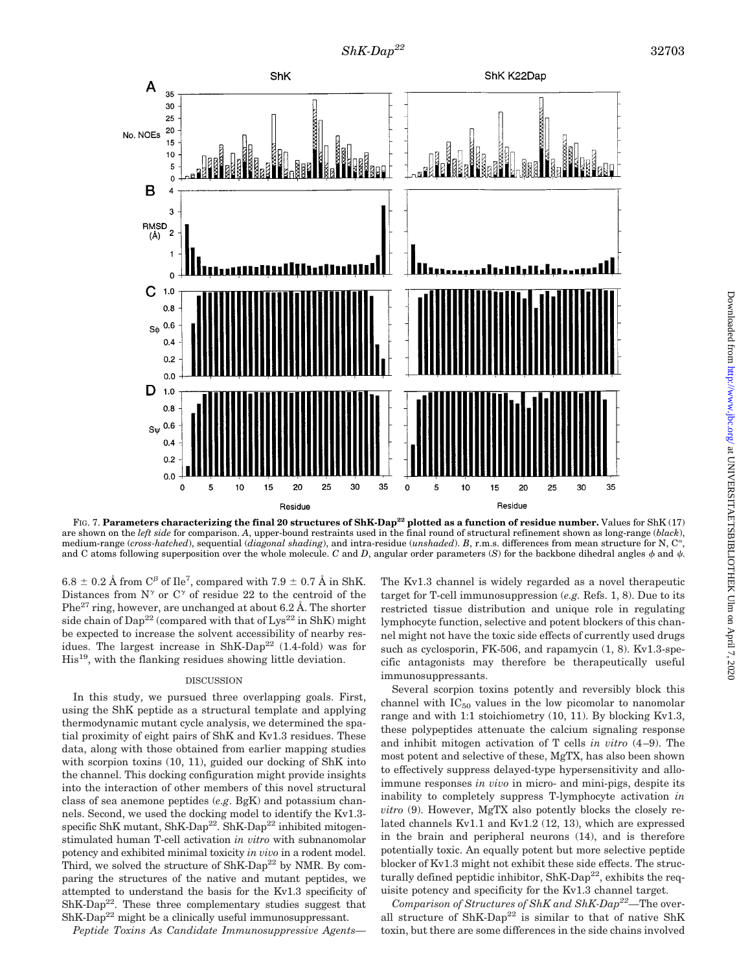

FIG. 7. **Parameters characterizing the final 20 structures of ShK-Dap<sup>22</sup> plotted as a function of residue number.** Values for ShK (17) are shown on the *left side* for comparison. *A*, upper-bound restraints used in the final round of structural refinement shown as long-range (*black*), medium-range (*cross-hatched*), sequential (*diagonal shading*), and intra-residue (*unshaded*). *B*, r.m.s. differences from mean structure for N, C<sup>a</sup> and C atoms following superposition over the whole molecule. *C* and *D*, angular order parameters (*S*) for the backbone dihedral angles  $\phi$  and  $\psi$ .

6.8  $\pm$  0.2 Å from C<sup> $\beta$ </sup> of Ile<sup>7</sup>, compared with 7.9  $\pm$  0.7 Å in ShK. Distances from  $N^{\gamma}$  or  $C^{\gamma}$  of residue 22 to the centroid of the  $Phe^{27}$  ring, however, are unchanged at about 6.2 Å. The shorter side chain of  $\text{Dap}^{22}$  (compared with that of  $\text{Lys}^{22}$  in ShK) might be expected to increase the solvent accessibility of nearby residues. The largest increase in  $\text{ShK-Dap}^{22}$  (1.4-fold) was for His19, with the flanking residues showing little deviation.

#### DISCUSSION

In this study, we pursued three overlapping goals. First, using the ShK peptide as a structural template and applying thermodynamic mutant cycle analysis, we determined the spatial proximity of eight pairs of ShK and Kv1.3 residues. These data, along with those obtained from earlier mapping studies with scorpion toxins (10, 11), guided our docking of ShK into the channel. This docking configuration might provide insights into the interaction of other members of this novel structural class of sea anemone peptides (*e.g*. BgK) and potassium channels. Second, we used the docking model to identify the Kv1.3 specific ShK mutant, ShK-Dap<sup>22</sup>. ShK-Dap<sup>22</sup> inhibited mitogenstimulated human T-cell activation *in vitro* with subnanomolar potency and exhibited minimal toxicity *in vivo* in a rodent model. Third, we solved the structure of ShK-Dap<sup>22</sup> by NMR. By comparing the structures of the native and mutant peptides, we attempted to understand the basis for the Kv1.3 specificity of  $ShK-Dap<sup>22</sup>$ . These three complementary studies suggest that  $ShK-Dap<sup>22</sup>$  might be a clinically useful immunosuppressant.

*Peptide Toxins As Candidate Immunosuppressive Agents—*

The Kv1.3 channel is widely regarded as a novel therapeutic target for T-cell immunosuppression (*e.g.* Refs. 1, 8). Due to its restricted tissue distribution and unique role in regulating lymphocyte function, selective and potent blockers of this channel might not have the toxic side effects of currently used drugs such as cyclosporin, FK-506, and rapamycin  $(1, 8)$ . Kv1.3-specific antagonists may therefore be therapeutically useful immunosuppressants.

Several scorpion toxins potently and reversibly block this channel with  $IC_{50}$  values in the low picomolar to nanomolar range and with 1:1 stoichiometry (10, 11). By blocking Kv1.3, these polypeptides attenuate the calcium signaling response and inhibit mitogen activation of T cells *in vitro* (4–9). The most potent and selective of these, MgTX, has also been shown to effectively suppress delayed-type hypersensitivity and alloimmune responses *in vivo* in micro- and mini-pigs, despite its inability to completely suppress T-lymphocyte activation *in vitro* (9). However, MgTX also potently blocks the closely related channels Kv1.1 and Kv1.2 (12, 13), which are expressed in the brain and peripheral neurons (14), and is therefore potentially toxic. An equally potent but more selective peptide blocker of Kv1.3 might not exhibit these side effects. The structurally defined peptidic inhibitor,  $\text{ShK-Dap}^{22}$ , exhibits the requisite potency and specificity for the Kv1.3 channel target.

*Comparison of Structures of ShK and ShK-Dap22—*The overall structure of  $\text{ShK-Dan}^{22}$  is similar to that of native  $\text{ShK}$ toxin, but there are some differences in the side chains involved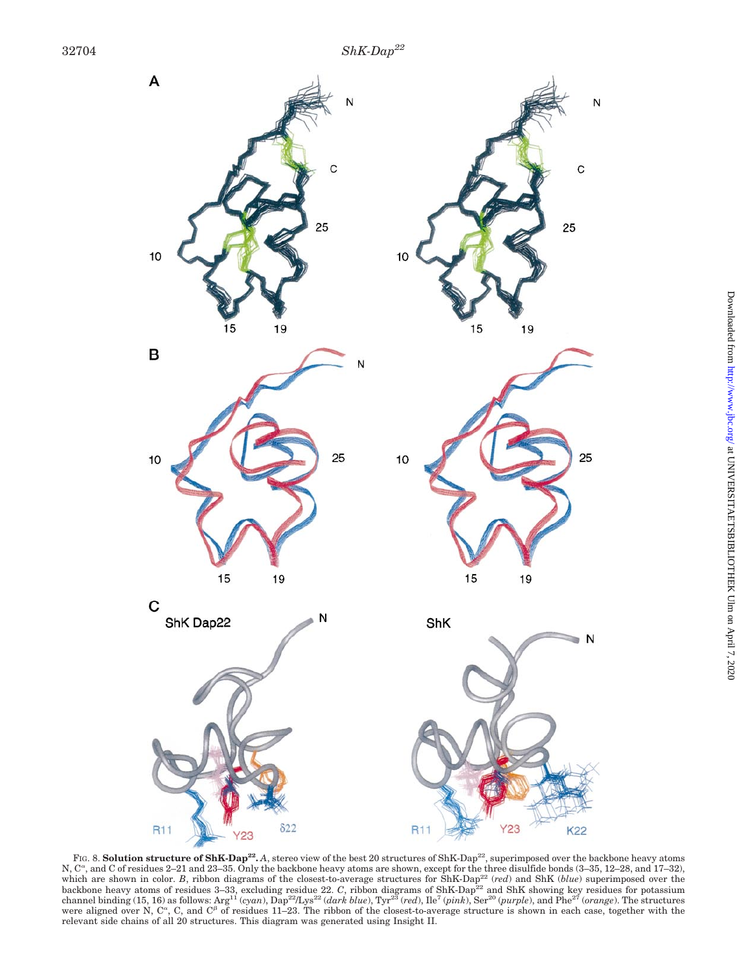

FIG. 8. **Solution structure of ShK-Dap<sup>22</sup>.** A, stereo view of the best 20 structures of ShK-Dap<sup>22</sup>, superimposed over the backbone heavy atoms N, C<sup>a</sup>, and C of residues 2–21 and 23–35. Only the backbone heavy atoms are shown, except for the three disulfide bonds (3–35, 12–28, and 17–32), which are shown in color. *B*, ribbon diagrams of the closest-to-average structures for ShK-Dap<sup>22</sup> (*red*) and ShK (*blue*) superimposed over the backbone heavy atoms of residues 3–33, excluding residue 22. *C*, ribbon diagrams of ShK-Dap<sup>22</sup> and ShK showing key residues for potassium channel binding (15, 16) as follows: Arg11 (*cyan*), Dap22/Lys22 (*dark blue*), Tyr23 (*red*), Ile7 (*pink*), Ser20 (*purple*), and Phe27 (*orange*). The structures were aligned over N,  $C^{\alpha}$ , C, and  $C^{\beta}$  of residues 11–23. The ribbon of the closest-to-average structure is shown in each case, together with the relevant side chains of all 20 structures. This diagram was generated using Insight II.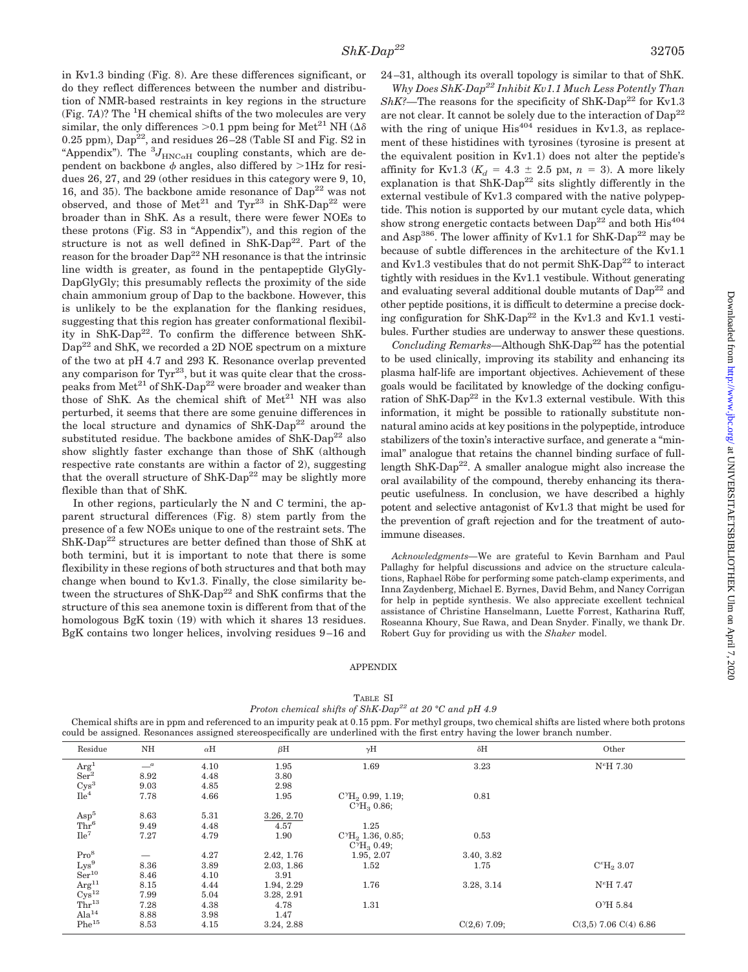in Kv1.3 binding (Fig. 8). Are these differences significant, or do they reflect differences between the number and distribution of NMR-based restraints in key regions in the structure (Fig. 7A)? The <sup>1</sup>H chemical shifts of the two molecules are very similar, the only differences > 0.1 ppm being for Met<sup>21</sup> NH ( $\Delta \delta$ ) 0.25 ppm),  $Dap^{22}$ , and residues  $26-28$  (Table SI and Fig. S2 in "Appendix"). The  ${}^{3}J_{\text{HNC}\alpha\text{H}}$  coupling constants, which are dependent on backbone  $\phi$  angles, also differed by  $>$ 1Hz for residues 26, 27, and 29 (other residues in this category were 9, 10, 16, and 35). The backbone amide resonance of  $Dap^{22}$  was not observed, and those of  $Met^{21}$  and  $Tyr^{23}$  in ShK-Dap<sup>22</sup> were broader than in ShK. As a result, there were fewer NOEs to these protons (Fig. S3 in "Appendix"), and this region of the structure is not as well defined in  $\text{ShK-Dap}^{22}$ . Part of the reason for the broader  $Dap^{22}$  NH resonance is that the intrinsic line width is greater, as found in the pentapeptide GlyGly-DapGlyGly; this presumably reflects the proximity of the side chain ammonium group of Dap to the backbone. However, this is unlikely to be the explanation for the flanking residues, suggesting that this region has greater conformational flexibility in ShK-Dap<sup>22</sup>. To confirm the difference between ShK-Dap22 and ShK, we recorded a 2D NOE spectrum on a mixture of the two at pH 4.7 and 293 K. Resonance overlap prevented any comparison for  $\text{Tyr}^{23}$ , but it was quite clear that the crosspeaks from  $\rm Met^{21}$  of  $\rm ShK\text{-}Dap^{22}$  were broader and weaker than those of ShK. As the chemical shift of  $Met<sup>21</sup> NH$  was also perturbed, it seems that there are some genuine differences in the local structure and dynamics of  $\text{ShK-Dap}^{22}$  around the substituted residue. The backbone amides of  $\text{ShK-Dap}^{22}$  also show slightly faster exchange than those of ShK (although respective rate constants are within a factor of 2), suggesting that the overall structure of ShK-Dap<sup>22</sup> may be slightly more flexible than that of ShK.

In other regions, particularly the N and C termini, the apparent structural differences (Fig. 8) stem partly from the presence of a few NOEs unique to one of the restraint sets. The  $\rm ShK\text{-}Dap^{22}$  structures are better defined than those of  $\rm ShK$  at both termini, but it is important to note that there is some flexibility in these regions of both structures and that both may change when bound to Kv1.3. Finally, the close similarity between the structures of ShK-Dap<sup>22</sup> and ShK confirms that the structure of this sea anemone toxin is different from that of the homologous BgK toxin (19) with which it shares 13 residues. BgK contains two longer helices, involving residues 9–16 and

*Why Does ShK-Dap22 Inhibit Kv1.1 Much Less Potently Than ShK?*—The reasons for the specificity of ShK-Dap<sup>22</sup> for Kv1.3 are not clear. It cannot be solely due to the interaction of Dap<sup>22</sup> with the ring of unique  $His^{404}$  residues in Kv1.3, as replacement of these histidines with tyrosines (tyrosine is present at the equivalent position in Kv1.1) does not alter the peptide's affinity for Kv1.3 ( $K_d = 4.3 \pm 2.5$  pm,  $n = 3$ ). A more likely explanation is that  $\text{ShK-Dap}^{22}$  sits slightly differently in the external vestibule of Kv1.3 compared with the native polypeptide. This notion is supported by our mutant cycle data, which show strong energetic contacts between  $Dap^{22}$  and both  $His^{404}$ and Asp<sup>386</sup>. The lower affinity of Kv1.1 for ShK-Dap<sup>22</sup> may be because of subtle differences in the architecture of the Kv1.1 and Kv1.3 vestibules that do not permit ShK-Dap<sup>22</sup> to interact tightly with residues in the Kv1.1 vestibule. Without generating and evaluating several additional double mutants of  $\text{Dap}^{22}$  and other peptide positions, it is difficult to determine a precise docking configuration for ShK-Dap<sup>22</sup> in the Kv1.3 and Kv1.1 vestibules. Further studies are underway to answer these questions.

*Concluding Remarks*—Although ShK-Dap<sup>22</sup> has the potential to be used clinically, improving its stability and enhancing its plasma half-life are important objectives. Achievement of these goals would be facilitated by knowledge of the docking configuration of ShK-Dap<sup>22</sup> in the Kv1.3 external vestibule. With this information, it might be possible to rationally substitute nonnatural amino acids at key positions in the polypeptide, introduce stabilizers of the toxin's interactive surface, and generate a "minimal" analogue that retains the channel binding surface of fulllength  $\text{ShK-Dap}^{22}$ . A smaller analogue might also increase the oral availability of the compound, thereby enhancing its therapeutic usefulness. In conclusion, we have described a highly potent and selective antagonist of Kv1.3 that might be used for the prevention of graft rejection and for the treatment of autoimmune diseases.

*Acknowledgments—*We are grateful to Kevin Barnham and Paul Pallaghy for helpful discussions and advice on the structure calculations, Raphael Röbe for performing some patch-clamp experiments, and Inna Zaydenberg, Michael E. Byrnes, David Behm, and Nancy Corrigan for help in peptide synthesis. We also appreciate excellent technical assistance of Christine Hanselmann, Luette Forrest, Katharina Ruff, Roseanna Khoury, Sue Rawa, and Dean Snyder. Finally, we thank Dr. Robert Guy for providing us with the *Shaker* model.

#### APPENDIX

| ٠<br>۰, |
|---------|
|         |

*Proton chemical shifts of ShK-Dap22 at 20 °C and pH 4.9*

Chemical shifts are in ppm and referenced to an impurity peak at 0.15 ppm. For methyl groups, two chemical shifts are listed where both protons could be assigned. Resonances assigned stereospecifically are underlined with the first entry having the lower branch number.

| Residue                         | NH   | $\alpha$ H | $\beta$ H  | $\gamma$ H                   | $\delta H$     | Other                     |
|---------------------------------|------|------------|------------|------------------------------|----------------|---------------------------|
| $\rm{Arg}^1$<br>$\rm{Ser}^2$    | $-a$ | 4.10       | 1.95       | 1.69                         | 3.23           | $N^{\epsilon}H$ 7.30      |
|                                 | 8.92 | 4.48       | 3.80       |                              |                |                           |
| $\rm \frac{Cys^3}{He^4}$        | 9.03 | 4.85       | 2.98       |                              |                |                           |
|                                 | 7.78 | 4.66       | 1.95       | $C^{\gamma}H_2$ 0.99, 1.19;  | 0.81           |                           |
|                                 |      |            |            | $C^{\gamma}H_{\alpha}$ 0.86; |                |                           |
| $Asp^5$                         | 8.63 | 5.31       | 3.26, 2.70 |                              |                |                           |
| Thr <sup>6</sup>                | 9.49 | 4.48       | 4.57       | 1.25                         |                |                           |
| Ile <sup>7</sup>                | 7.27 | 4.79       | 1.90       | $C^{\gamma}H_2$ 1.36, 0.85;  | 0.53           |                           |
|                                 |      |            |            | $C^{\gamma}H_{3}$ 0.49;      |                |                           |
| Pro <sup>8</sup>                |      | 4.27       | 2.42, 1.76 | 1.95, 2.07                   | 3.40, 3.82     |                           |
| ${\rm Lys}^9$ ${\rm Ser}^{10}$  | 8.36 | 3.89       | 2.03, 1.86 | 1.52                         | 1.75           | $C^{\epsilon}H_2$ 3.07    |
|                                 | 8.46 | 4.10       | 3.91       |                              |                |                           |
| $\rm \frac{Arg^{11}}{Cys^{12}}$ | 8.15 | 4.44       | 1.94, 2.29 | 1.76                         | 3.28, 3.14     | $N^{\varepsilon}H$ 7.47   |
|                                 | 7.99 | 5.04       | 3.28, 2.91 |                              |                |                           |
| $Thr^{13}$                      | 7.28 | 4.38       | 4.78       | 1.31                         |                | O <sup>*</sup> H 5.84     |
| Ala <sup>14</sup>               | 8.88 | 3.98       | 1.47       |                              |                |                           |
| $Phe^{15}$                      | 8.53 | 4.15       | 3.24, 2.88 |                              | $C(2,6)$ 7.09; | $C(3,5)$ 7.06 $C(4)$ 6.86 |
|                                 |      |            |            |                              |                |                           |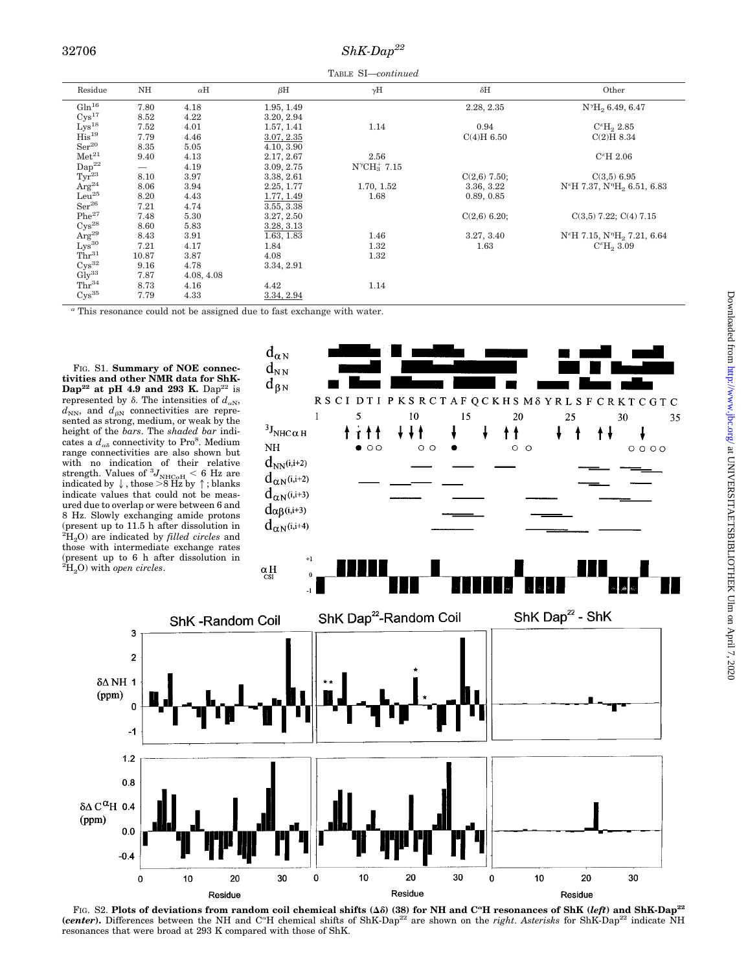### *ShK-Dap22* 32706

TABLE SI—*continued*

| Residue                                                                                                          | NH                       | $\alpha$ H | $\beta$ H  | $\gamma$ H              | $\delta H$     | Other                                                           |
|------------------------------------------------------------------------------------------------------------------|--------------------------|------------|------------|-------------------------|----------------|-----------------------------------------------------------------|
| $Gln^{16}$                                                                                                       | 7.80                     | 4.18       | 1.95, 1.49 |                         | 2.28, 2.35     | $N^{\gamma}H_2$ 6.49, 6.47                                      |
| Cys <sup>17</sup>                                                                                                | 8.52                     | 4.22       | 3.20, 2.94 |                         |                |                                                                 |
| $Lys^{18}$                                                                                                       | 7.52                     | 4.01       | 1.57, 1.41 | 1.14                    | 0.94           | $C^{\epsilon}H_2 2.85$                                          |
| His <sup>19</sup>                                                                                                | 7.79                     | 4.46       | 3.07, 2.35 |                         | C(4)H 6.50     | C(2)H 8.34                                                      |
| $\rm Ser^{20}$                                                                                                   | 8.35                     | 5.05       | 4.10, 3.90 |                         |                |                                                                 |
| Met <sup>21</sup>                                                                                                | 9.40                     | 4.13       | 2.17, 2.67 | 2.56                    |                | $C^{\epsilon}H 2.06$                                            |
| $\mathrm{Dap^{22}}$                                                                                              | $\overline{\phantom{0}}$ | 4.19       | 3.09, 2.75 | $N^{\gamma}CH_3^+$ 7.15 |                |                                                                 |
| $Tyr^{23}$                                                                                                       | 8.10                     | 3.97       | 3.38, 2.61 |                         | $C(2,6)$ 7.50; | $C(3,5)$ 6.95                                                   |
| $\AA$ rg <sup>24</sup>                                                                                           | 8.06                     | 3.94       | 2.25, 1.77 | 1.70, 1.52              | 3.36, 3.22     | N <sup>e</sup> H 7.37, N <sup>"</sup> H <sub>2</sub> 6.51, 6.83 |
| $Leu^{25}$                                                                                                       | 8.20                     | 4.43       | 1.77, 1.49 | 1.68                    | 0.89, 0.85     |                                                                 |
| $Ser^{26}$                                                                                                       | 7.21                     | 4.74       | 3.55, 3.38 |                         |                |                                                                 |
| $Phe^{27}$                                                                                                       | 7.48                     | 5.30       | 3.27, 2.50 |                         | $C(2,6)$ 6.20; | $C(3,5)$ 7.22; $C(4)$ 7.15                                      |
| $Cys^{28}$                                                                                                       | 8.60                     | 5.83       | 3.28, 3.13 |                         |                |                                                                 |
| ${\rm Arg^{29}}_{\rm Lys^{30}}$                                                                                  | 8.43                     | 3.91       | 1.63, 1.83 | 1.46                    | 3.27, 3.40     | $N^{\epsilon}H$ 7.15, $N^{\eta}H_2$ 7.21, 6.64                  |
|                                                                                                                  | 7.21                     | 4.17       | 1.84       | 1.32                    | 1.63           | $C^{e}H_{2}3.09$                                                |
| $Thr^{31}$                                                                                                       | 10.87                    | 3.87       | 4.08       | 1.32                    |                |                                                                 |
| Cys <sup>32</sup>                                                                                                | 9.16                     | 4.78       | 3.34, 2.91 |                         |                |                                                                 |
| $\mathrm{Gly}^{33}$                                                                                              | 7.87                     | 4.08, 4.08 |            |                         |                |                                                                 |
| Thr <sup>34</sup>                                                                                                | 8.73                     | 4.16       | 4.42       | 1.14                    |                |                                                                 |
| $Cys^{35}$                                                                                                       | 7.79                     | 4.33       | 3.34, 2.94 |                         |                |                                                                 |
| $\alpha$ must be accessed as a small set that is continued. Then the $\ell_2$ straight contract the contribution |                          |            |            |                         |                |                                                                 |

This resonance could not be assigned due to fast exchange with water.

FIG. S1. **Summary of NOE connectivities and other NMR data for ShK-Dap<sup>22</sup>** at pH 4.9 and 293 K. Dap<sup>22</sup> is represented by  $\delta$ . The intensities of  $d_{\alpha N}$ ,  $d_{NN}$ , and  $d_{BN}$  connectivities are represented as strong, medium, or weak by the height of the *bars*. The *shaded bar* indicates a  $d_{\alpha\delta}$  connectivity to Pro<sup>8</sup>. Medium range connectivities are also shown but with no indication of their relative<br>strength. Values of  ${}^{3}J_{\rm NHC\alpha H} < 6$  Hz are<br>indicated by  $\downarrow$ , those >8 Hz by  $\uparrow$ ; blanks indicate values that could not be measured due to overlap or were between 6 and 8 Hz. Slowly exchanging amide protons (present up to 11.5 h after dissolution in 2 H2O) are indicated by *filled circles* and those with intermediate exchange rates (present up to 6 h after dissolution in 2 H2O) with *open circles*.

> 3  $\overline{\mathbf{c}}$

 $\mathbf 0$ 

 $-1$ 

 $1.2$  $0.8$ 

 $0.0$  $-0.4$ 

 $\mathbf 0$ 

10

 $δΔ C<sup>α</sup>H$  0.4  $(ppm)$ 

 $\delta\Delta$  NH 1  $(ppm)$ 



FIG. S2. Plots of deviations from random coil chemical shifts  $(\Delta \delta)$  (38) for NH and C<sup>a</sup>H resonances of ShK (*left*) and ShK-Dap<sup>22</sup> (*center*). Differences between the NH and C<sup>\*</sup>H chemical shifts of ShK-Dap<sup>22</sup> are shown on the *right*. Asterisks for ShK-Dap<sup>22</sup> indicate NH resonances that were broad at 293 K compared with those of ShK.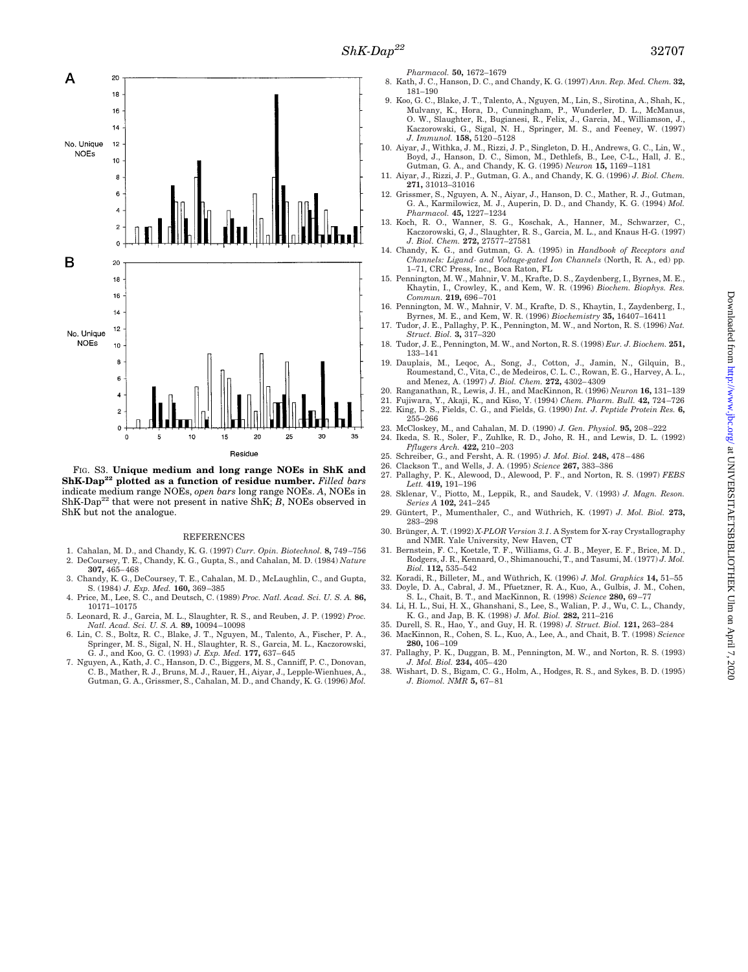

FIG. S3. **Unique medium and long range NOEs in ShK and ShK-Dap<sup>22</sup> plotted as a function of residue number.** *Filled bars* indicate medium range NOEs, *open bars* long range NOEs. *A*, NOEs in ShK-Dap<sup>22</sup> that were not present in native ShK; *B*, NOEs observed in ShK but not the analogue.

#### REFERENCES

- 1. Cahalan, M. D., and Chandy, K. G. (1997) *Curr. Opin. Biotechnol.* **8,** 749–756 2. DeCoursey, T. E., Chandy, K. G., Gupta, S., and Cahalan, M. D. (1984) *Nature* **307,** 465–468
- 3. Chandy, K. G., DeCoursey, T. E., Cahalan, M. D., McLaughlin, C., and Gupta, S. (1984) *J. Exp. Med.* **160,** 369–385
- 4. Price, M., Lee, S. C., and Deutsch, C. (1989) *Proc. Natl. Acad. Sci. U. S. A.* **86,** 10171–10175
- 5. Leonard, R. J., Garcia, M. L., Slaughter, R. S., and Reuben, J. P. (1992) *Proc. Natl. Acad. Sci. U. S. A.* **89,** 10094–10098
- 6. Lin, C. S., Boltz, R. C., Blake, J. T., Nguyen, M., Talento, A., Fischer, P. A., Springer, M. S., Sigal, N. H., Slaughter, R. S., Garcia, M. L., Kaczorowski, G. J., and Koo, G. C. (1993) *J. Exp. Med.* **177,** 637–645
- 7. Nguyen, A., Kath, J. C., Hanson, D. C., Biggers, M. S., Canniff, P. C., Donovan, C. B., Mather, R. J., Bruns, M. J., Rauer, H., Aiyar, J., Lepple-Wienhues, A., Gutman, G. A., Grissmer, S., Cahalan, M. D., and Chandy, K. G. (1996) *Mol.*

*Pharmacol.* **50,** 1672–1679

- 8. Kath, J. C., Hanson, D. C., and Chandy, K. G. (1997) *Ann. Rep. Med. Chem.* **32,** 181–190
- 9. Koo, G. C., Blake, J. T., Talento, A., Nguyen, M., Lin, S., Sirotina, A., Shah, K., Mulvany, K., Hora, D., Cunningham, P., Wunderler, D. L., McManus, O. W., Slaughter, R., Bugianesi, R., Felix, J., Garcia, M., Williamson, J., Kaczorowski, G., Sigal, N. H., Springer, M. S., and Feeney, W. (1997) *J. Immunol.* **158,** 5120–5128
- 10. Aiyar, J., Withka, J. M., Rizzi, J. P., Singleton, D. H., Andrews, G. C., Lin, W., Boyd, J., Hanson, D. C., Simon, M., Dethlefs, B., Lee, C-L., Hall, J. E., Gutman, G. A., and Chandy, K. G. (1995) *Neuron* **15,** 1169–1
- 11. Aiyar, J., Rizzi, J. P., Gutman, G. A., and Chandy, K. G. (1996) *J. Biol. Chem.* **271,** 31013–31016
- 12. Grissmer, S., Nguyen, A. N., Aiyar, J., Hanson, D. C., Mather, R. J., Gutman, G. A., Karmilowicz, M. J., Auperin, D. D., and Chandy, K. G. (1994) *Mol. Pharmacol.* **45,** 1227–1234
- 13. Koch, R. O., Wanner, S. G., Koschak, A., Hanner, M., Schwarzer, C. Kaczorowski, G, J., Slaughter, R. S., Garcia, M. L., and Knaus H-G. (1997) *J. Biol. Chem.* **272,** 27577–27581
- 14. Chandy, K. G., and Gutman, G. A. (1995) in *Handbook of Receptors and Channels: Ligand- and Voltage-gated Ion Channels* (North, R. A., ed) pp. 1–71, CRC Press, Inc., Boca Raton, FL
- 15. Pennington, M. W., Mahnir, V. M., Krafte, D. S., Zaydenberg, I., Byrnes, M. E., Khaytin, I., Crowley, K., and Kem, W. R. (1996) *Biochem. Biophys. Res. Commun.* **219,** 696–701
- 16. Pennington, M. W., Mahnir, V. M., Krafte, D. S., Khaytin, I., Zaydenberg, I., Byrnes, M. E., and Kem, W. R. (1996) *Biochemistry* **35,** 16407–16411
- 17. Tudor, J. E., Pallaghy, P. K., Pennington, M. W., and Norton, R. S. (1996) *Nat. Struct. Biol.* **3,** 317–320
- 18. Tudor, J. E., Pennington, M. W., and Norton, R. S. (1998) *Eur. J. Biochem.* **251,** 133–141
- 19. Dauplais, M., Leqoc, A., Song, J., Cotton, J., Jamin, N., Gilquin, B., Roumestand, C., Vita, C., de Medeiros, C. L. C., Rowan, E. G., Harvey, A. L., and Menez, A. (1997) *J. Biol. Chem.* **272,** 4302–4309
- 20. Ranganathan, R., Lewis, J. H., and MacKinnon, R. (1996) *Neuron* **16,** 131–139
- 21. Fujiwara, Y., Akaji, K., and Kiso, Y. (1994) *Chem. Pharm. Bull.* **42,** 724–726 22. King, D. S., Fields, C. G., and Fields, G. (1990) *Int. J. Peptide Protein Res.* **6,** 255–266
- 23. McCloskey, M., and Cahalan, M. D. (1990) *J. Gen. Physiol.* **95,** 208–222 24. Ikeda, S. R., Soler, F., Zuhlke, R. D., Joho, R. H., and Lewis, D. L. (1992)
- *Pflugers Arch.* **422,** 210–203
- 25. Schreiber, G., and Fersht, A. R. (1995) *J. Mol. Biol.* **248,** 478–486
- 26. Clackson T., and Wells, J. A. (1995) *Science* **267,** 383–386
- 27. Pallaghy, P. K., Alewood, D., Alewood, P. F., and Norton, R. S. (1997) *FEBS Lett.* **419,** 191–196
- 28. Sklenar, V., Piotto, M., Leppik, R., and Saudek, V. (1993) *J. Magn. Reson. Series A* **102,** 241–245
- 29. Güntert, P., Mumenthaler, C., and Wüthrich, K. (1997) *J. Mol. Biol.* 273, 283–298
- 30. Brünger, A. T. (1992) *X-PLOR Version 3.1*. A System for X-ray Crystallography
- and NMR. Yale University, New Haven, CT 31. Bernstein, F. C., Koetzle, T. F., Williams, G. J. B., Meyer, E. F., Brice, M. D., Rodgers, J. R., Kennard, O., Shimanouchi, T., and Tasumi, M. (1977) *J. Mol. Biol.* **112,** 535–542
- 32. Koradi, R., Billeter, M., and Wüthrich, K. (1996) *J. Mol. Graphics* 14. 51-55 33. Doyle, D. A., Cabral, J. M., Pfuetzner, R. A., Kuo, A., Gulbis, J. M., Cohen,
- S. L., Chait, B. T., and MacKinnon, R. (1998) *Science* **280,** 69–77
- 34. Li, H. L., Sui, H. X., Ghanshani, S., Lee, S., Walian, P. J., Wu, C. L., Chandy, K. G., and Jap, B. K. (1998) *J. Mol. Biol.* **282,** 211–216 35. Durell, S. R., Hao, Y., and Guy, H. R. (1998) *J. Struct. Biol.* **121,** 263–284
- 36. MacKinnon, R., Cohen, S. L., Kuo, A., Lee, A., and Chait, B. T. (1998) *Science* **280,** 106–109
- 37. Pallaghy, P. K., Duggan, B. M., Pennington, M. W., and Norton, R. S. (1993) *J. Mol. Biol.* **234,** 405–420
- 38. Wishart, D. S., Bigam, C. G., Holm, A., Hodges, R. S., and Sykes, B. D. (1995) *J. Biomol. NMR* **5,** 67–81